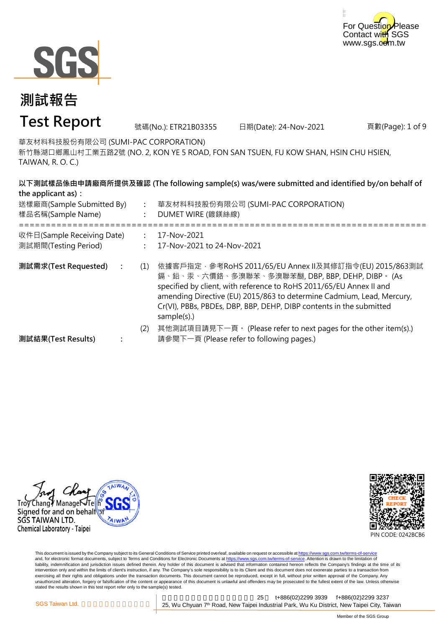



# **測試報告**

### **Test Report**

號碼(No.): ETR21B03355 日期(Date): 24-Nov-2021

頁數(Page): 1 of 9

華友材料科技股份有限公司 (SUMI-PAC CORPORATION)

新竹縣湖口鄉鳳山村工業五路2號 (NO. 2, KON YE 5 ROAD, FON SAN TSUEN, FU KOW SHAN, HSIN CHU HSIEN, TAIWAN, R. O. C.)

| the applicant as):                                 |     | 以下測試樣品係由申請廠商所提供及確認 (The following sample(s) was/were submitted and identified by/on behalf of                                                                                                                                                                                                                                                   |
|----------------------------------------------------|-----|-------------------------------------------------------------------------------------------------------------------------------------------------------------------------------------------------------------------------------------------------------------------------------------------------------------------------------------------------|
| 送樣廠商(Sample Submitted By)<br>樣品名稱(Sample Name)     |     | 華友材料科技股份有限公司 (SUMI-PAC CORPORATION)<br>DUMET WIRE (鍍鎂絲線)                                                                                                                                                                                                                                                                                        |
| 收件日(Sample Receiving Date)<br>測試期間(Testing Period) |     | 17-Nov-2021<br>17-Nov-2021 to 24-Nov-2021                                                                                                                                                                                                                                                                                                       |
| 測試需求(Test Requested)                               | (1) | 依據客戶指定‧參考RoHS 2011/65/EU Annex II及其修訂指令(EU) 2015/863測試<br>鎘、鉛、汞、六價鉻、多溴聯苯、多溴聯苯醚, DBP, BBP, DEHP, DIBP。 (As<br>specified by client, with reference to RoHS 2011/65/EU Annex II and<br>amending Directive (EU) 2015/863 to determine Cadmium, Lead, Mercury,<br>Cr(VI), PBBs, PBDEs, DBP, BBP, DEHP, DIBP contents in the submitted<br>sample(s).) |
| 測試結果(Test Results)                                 | (2) | 其他測試項目請見下一頁。 (Please refer to next pages for the other item(s).)<br>請參閱下一頁 (Please refer to following pages.)                                                                                                                                                                                                                                   |





This document is issued by the Company subject to its General Conditions of Service printed overleaf, available on request or accessible at <u>https://www.sgs.com.tw/terms-of-service</u><br>and, for electronic format documents, su liability, indemnification and jurisdiction issues defined therein. Any holder of this document is advised that information contained hereon reflects the Company's findings at the time of its liability, indemnification and intervention only and within the limits of client's instruction, if any. The Company's sole responsibility is to its Client and this document does not exonerate parties to a transaction from exercising all their rights and obligations under the transaction documents. This document cannot be reproduced, except in full, without prior written approval of the Company. Any<br>unauthorized alteration, forgery or falsif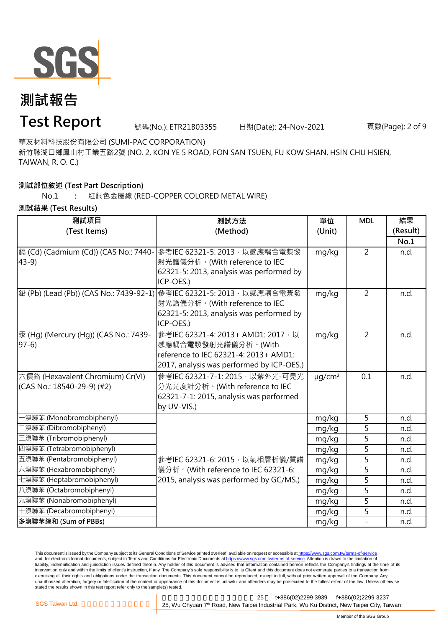

### **測試報告**

#### **Test Report**

號碼(No.): ETR21B03355 日期(Date): 24-Nov-2021

頁數(Page): 2 of 9

華友材料科技股份有限公司 (SUMI-PAC CORPORATION)

新竹縣湖口鄉鳳山村工業五路2號 (NO. 2, KON YE 5 ROAD, FON SAN TSUEN, FU KOW SHAN, HSIN CHU HSIEN, TAIWAN, R. O. C.)

#### **測試部位敘述 (Test Part Description)**

```
No.1 :
紅銅色金屬線 (RED-COPPER COLORED METAL WIRE)
```
#### **測試結果 (Test Results)**

| 測試項目                                  | 測試方法                                                                          | 單位                      | <b>MDL</b>     | 結果       |
|---------------------------------------|-------------------------------------------------------------------------------|-------------------------|----------------|----------|
| (Test Items)                          | (Method)                                                                      | (Unit)                  |                | (Result) |
|                                       |                                                                               |                         |                | No.1     |
| 鎘 (Cd) (Cadmium (Cd)) (CAS No.: 7440- | 參考IEC 62321-5: 2013, 以感應耦合電漿發                                                 | mg/kg                   | $\overline{2}$ | n.d.     |
| $43-9$                                | 射光譜儀分析。(With reference to IEC                                                 |                         |                |          |
|                                       | 62321-5: 2013, analysis was performed by                                      |                         |                |          |
|                                       | ICP-OES.)                                                                     |                         |                |          |
|                                       | <b>鉛 (Pb) (Lead (Pb)) (CAS No.: 7439-92-1) 参考IEC 62321-5: 2013</b> , 以感應耦合電漿發 | mg/kg                   | $\overline{2}$ | n.d.     |
|                                       | 射光譜儀分析。(With reference to IEC                                                 |                         |                |          |
|                                       | 62321-5: 2013, analysis was performed by                                      |                         |                |          |
|                                       | ICP-OES.)                                                                     |                         |                |          |
| 汞 (Hg) (Mercury (Hg)) (CAS No.: 7439- | 參考IEC 62321-4: 2013+ AMD1: 2017, 以                                            | mg/kg                   | $\overline{2}$ | n.d.     |
| $97-6$                                | 感應耦合電漿發射光譜儀分析。(With                                                           |                         |                |          |
|                                       | reference to IEC 62321-4: 2013+ AMD1:                                         |                         |                |          |
|                                       | 2017, analysis was performed by ICP-OES.)                                     |                         |                |          |
| 六價鉻 (Hexavalent Chromium) Cr(VI)      | 參考IEC 62321-7-1: 2015, 以紫外光-可見光                                               | $\mu$ g/cm <sup>2</sup> | 0.1            | n.d.     |
| (CAS No.: 18540-29-9) (#2)            | 分光光度計分析。(With reference to IEC                                                |                         |                |          |
|                                       | 62321-7-1: 2015, analysis was performed                                       |                         |                |          |
|                                       | by UV-VIS.)                                                                   |                         |                |          |
| - 溴聯苯 (Monobromobiphenyl)             |                                                                               | mg/kg                   | 5              | n.d.     |
| 二溴聯苯 (Dibromobiphenyl)                |                                                                               | mg/kg                   | 5              | n.d.     |
| 三溴聯苯 (Tribromobiphenyl)               |                                                                               | mg/kg                   | $\overline{5}$ | n.d.     |
| 四溴聯苯 (Tetrabromobiphenyl)             |                                                                               | mg/kg                   | 5              | n.d.     |
| 五溴聯苯 (Pentabromobiphenyl)             | 參考IEC 62321-6: 2015, 以氣相層析儀/質譜                                                | mg/kg                   | $\overline{5}$ | n.d.     |
| 六溴聯苯 (Hexabromobiphenyl)              | 儀分析。(With reference to IEC 62321-6:                                           | mg/kg                   | 5              | n.d.     |
| 七溴聯苯 (Heptabromobiphenyl)             | 2015, analysis was performed by GC/MS.)                                       | mg/kg                   | 5              | n.d.     |
| 八溴聯苯 (Octabromobiphenyl)              |                                                                               | mg/kg                   | 5              | n.d.     |
| 九溴聯苯 (Nonabromobiphenyl)              |                                                                               | mg/kg                   | 5              | n.d.     |
| 十溴聯苯 (Decabromobiphenyl)              |                                                                               | mg/kg                   | 5              | n.d.     |
| 多溴聯苯總和 (Sum of PBBs)                  |                                                                               | mg/kg                   | $\overline{a}$ | n.d.     |

This document is issued by the Company subject to its General Conditions of Service printed overleaf, available on request or accessible at https://www.sgs.com.tw/terms-of-service and, for electronic format documents, subject to Terms and Conditions for Electronic Documents at https://www.sgs.com.tw/terms-of-service. Attention is drawn to the limitation of liability, indemnification and jurisdiction issues defined therein. Any holder of this document is advised that information contained hereon reflects the Company's findings at the time of its intervention only and within the limits of client's instruction, if any. The Company's sole responsibility is to its Client and this document does not exonerate parties to a transaction from exercising all their rights and obligations under the transaction documents. This document cannot be reproduced, except in full, without prior written approval of the Company. Any<br>unauthorized alteration, forgery or falsif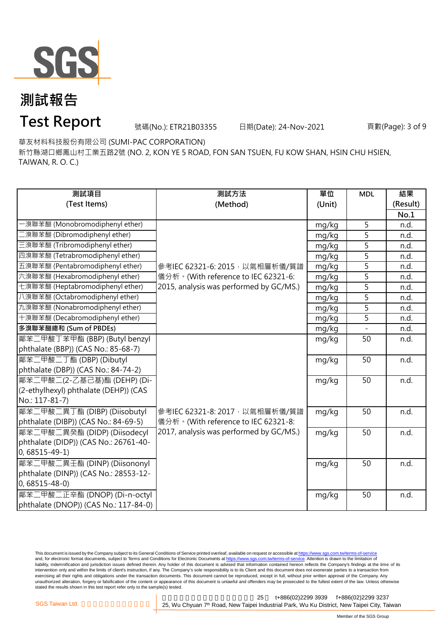

號碼(No.): ETR21B03355 日期(Date): 24-Nov-2021

頁數(Page): 3 of 9

華友材料科技股份有限公司 (SUMI-PAC CORPORATION)

新竹縣湖口鄉鳳山村工業五路2號 (NO. 2, KON YE 5 ROAD, FON SAN TSUEN, FU KOW SHAN, HSIN CHU HSIEN, TAIWAN, R. O. C.)

| 測試項目                                  | 測試方法                                    | 單位     | <b>MDL</b>     | 結果       |
|---------------------------------------|-----------------------------------------|--------|----------------|----------|
| (Test Items)                          | (Method)                                | (Unit) |                | (Result) |
|                                       |                                         |        |                | No.1     |
| -溴聯苯醚 (Monobromodiphenyl ether)       |                                         | mg/kg  | 5              | n.d.     |
| 二溴聯苯醚 (Dibromodiphenyl ether)         |                                         | mg/kg  | 5              | n.d.     |
| 三溴聯苯醚 (Tribromodiphenyl ether)        |                                         | mg/kg  | 5              | n.d.     |
| 四溴聯苯醚 (Tetrabromodiphenyl ether)      |                                         | mg/kg  | $\overline{5}$ | n.d.     |
| 五溴聯苯醚 (Pentabromodiphenyl ether)      | 參考IEC 62321-6: 2015, 以氣相層析儀/質譜          | mg/kg  | 5              | n.d.     |
| 六溴聯苯醚 (Hexabromodiphenyl ether)       | 儀分析。(With reference to IEC 62321-6:     | mg/kg  | $\overline{5}$ | n.d.     |
| 七溴聯苯醚 (Heptabromodiphenyl ether)      | 2015, analysis was performed by GC/MS.) | mg/kg  | 5              | n.d.     |
| 八溴聯苯醚 (Octabromodiphenyl ether)       |                                         | mg/kg  | $\overline{5}$ | n.d.     |
| 九溴聯苯醚 (Nonabromodiphenyl ether)       |                                         | mg/kg  | 5              | n.d.     |
| 十溴聯苯醚 (Decabromodiphenyl ether)       |                                         | mg/kg  | 5              | n.d.     |
| 多溴聯苯醚總和 (Sum of PBDEs)                |                                         | mg/kg  |                | n.d.     |
| 鄰苯二甲酸丁苯甲酯 (BBP) (Butyl benzyl         |                                         | mg/kg  | 50             | n.d.     |
| phthalate (BBP)) (CAS No.: 85-68-7)   |                                         |        |                |          |
| 鄰苯二甲酸二丁酯 (DBP) (Dibutyl               |                                         | mg/kg  | 50             | n.d.     |
| phthalate (DBP)) (CAS No.: 84-74-2)   |                                         |        |                |          |
| 鄰苯二甲酸二(2-乙基己基)酯 (DEHP) (Di-           |                                         | mg/kg  | 50             | n.d.     |
| (2-ethylhexyl) phthalate (DEHP)) (CAS |                                         |        |                |          |
| No.: 117-81-7)                        |                                         |        |                |          |
| 鄰苯二甲酸二異丁酯 (DIBP) (Diisobutyl          | 參考IEC 62321-8: 2017, 以氣相層析儀/質譜          | mg/kg  | 50             | n.d.     |
| phthalate (DIBP)) (CAS No.: 84-69-5)  | 儀分析。(With reference to IEC 62321-8:     |        |                |          |
| 鄰苯二甲酸二異癸酯 (DIDP) (Diisodecyl          | 2017, analysis was performed by GC/MS.) | mg/kg  | 50             | n.d.     |
| phthalate (DIDP)) (CAS No.: 26761-40- |                                         |        |                |          |
| $0,68515 - 49 - 1)$                   |                                         |        |                |          |
| 鄰苯二甲酸二異壬酯 (DINP) (Diisononyl          |                                         | mg/kg  | 50             | n.d.     |
| phthalate (DINP)) (CAS No.: 28553-12- |                                         |        |                |          |
| $0,68515 - 48 - 0$                    |                                         |        |                |          |
| 鄰苯二甲酸二正辛酯 (DNOP) (Di-n-octyl          |                                         | mg/kg  | 50             | n.d.     |
| phthalate (DNOP)) (CAS No.: 117-84-0) |                                         |        |                |          |

This document is issued by the Company subject to its General Conditions of Service printed overleaf, available on request or accessible at <u>https://www.sgs.com.tw/terms-of-service</u><br>and, for electronic format documents, su liability, indemnification and jurisdiction issues defined therein. Any holder of this document is advised that information contained hereon reflects the Company's findings at the time of its liability, indemnification and intervention only and within the limits of client's instruction, if any. The Company's sole responsibility is to its Client and this document does not exonerate parties to a transaction from exercising all their rights and obligations under the transaction documents. This document cannot be reproduced, except in full, without prior written approval of the Company. Any<br>unauthorized alteration, forgery or falsif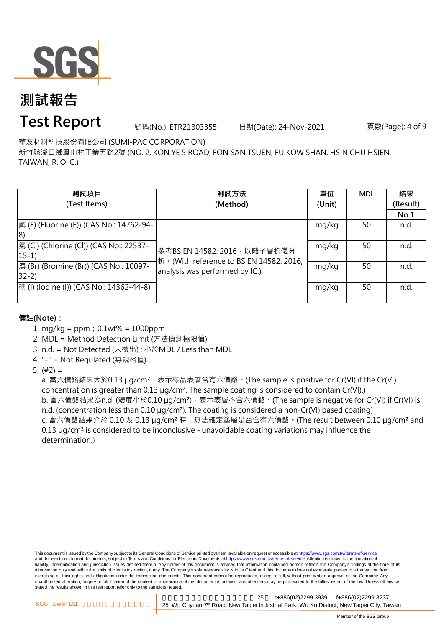

## **測試報告**

### **Test Report**

號碼(No.): ETR21B03355 日期(Date): 24-Nov-2021

頁數(Page): 4 of 9

華友材料科技股份有限公司 (SUMI-PAC CORPORATION)

新竹縣湖口鄉鳳山村工業五路2號 (NO. 2, KON YE 5 ROAD, FON SAN TSUEN, FU KOW SHAN, HSIN CHU HSIEN, TAIWAN, R. O. C.)

| 測試項目                                                | 測試方法                                                                       | 單位     | <b>MDL</b> | 結果       |
|-----------------------------------------------------|----------------------------------------------------------------------------|--------|------------|----------|
| (Test Items)                                        | (Method)                                                                   | (Unit) |            | (Result) |
|                                                     |                                                                            |        |            | No.1     |
| 氟 (F) (Fluorine (F)) (CAS No.: 14762-94-            |                                                                            | mg/kg  | 50         | n.d.     |
| 18)                                                 |                                                                            |        |            |          |
| [氯 (Cl) (Chlorine (Cl)) (CAS No.: 22537-<br>$15-1)$ | 參考BS EN 14582: 2016 · 以離子層析儀分<br>桥 · (With reference to BS EN 14582: 2016, | mg/kg  | 50         | n.d.     |
| 溴 (Br) (Bromine (Br)) (CAS No.: 10097-<br>$32-2)$   | analysis was performed by IC.)                                             | mg/kg  | 50         | n.d.     |
| 碘 (I) (Iodine (I)) (CAS No.: 14362-44-8)            |                                                                            | mg/kg  | 50         | n.d.     |

**備註(Note):**

- 1. mg/kg = ppm;0.1wt% = 1000ppm
- 2. MDL = Method Detection Limit (方法偵測極限值)
- 3. n.d. = Not Detected (未檢出) ; 小於MDL / Less than MDL
- 4. "-" = Not Regulated (無規格值)
- 5.  $(#2) =$

a. 當六價鉻結果大於0.13 μg/cm<sup>2</sup>,表示樣品表層含有六價鉻。(The sample is positive for Cr(VI) if the Cr(VI) concentration is greater than 0.13 µg/cm². The sample coating is considered to contain Cr(VI).) b. 當六價鉻結果為n.d. (濃度小於0.10 μg/cm<sup>2</sup>), 表示表層不含六價鉻。(The sample is negative for Cr(VI) if Cr(VI) is n.d. (concentration less than 0.10 µg/cm<sup>2</sup>). The coating is considered a non-Cr(VI) based coating) c. 當六價鉻結果介於 0.10 及 0.13 μg/cm² 時,無法確定塗層是否含有六價鉻。(The result between 0.10 μg/cm² and 0.13  $\mu$ g/cm<sup>2</sup> is considered to be inconclusive - unavoidable coating variations may influence the determination.)

This document is issued by the Company subject to its General Conditions of Service printed overleaf, available on request or accessible at https://www.sgs.com.tw/terms-of-service and, for electronic format documents, subject to Terms and Conditions for Electronic Documents at https://www.sgs.com.tw/terms-of-service. Attention is drawn to the limitation of liability, indemnification and jurisdiction issues defined therein. Any holder of this document is advised that information contained hereon reflects the Company's findings at the time of its intervention only and within the limits of client's instruction, if any. The Company's sole responsibility is to its Client and this document does not exonerate parties to a transaction from exercising all their rights and obligations under the transaction documents. This document cannot be reproduced, except in full, without prior written approval of the Company. Any<br>unauthorized alteration, forgery or falsif stated the results shown in this test report refer only to the sample(s) tested.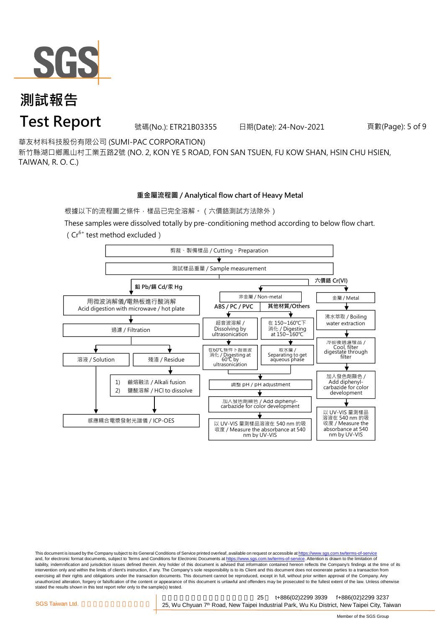

號碼(No.): ETR21B03355 日期(Date): 24-Nov-2021

頁數(Page): 5 of 9

華友材料科技股份有限公司 (SUMI-PAC CORPORATION)

新竹縣湖口鄉鳳山村工業五路2號 (NO. 2, KON YE 5 ROAD, FON SAN TSUEN, FU KOW SHAN, HSIN CHU HSIEN, TAIWAN, R. O. C.)

#### **重金屬流程圖 / Analytical flow chart of Heavy Metal**

根據以下的流程圖之條件,樣品已完全溶解。(六價鉻測試方法除外)

These samples were dissolved totally by pre-conditioning method according to below flow chart. ( $Cr^{6+}$  test method excluded)



This document is issued by the Company subject to its General Conditions of Service printed overleaf, available on request or accessible at https://www.sgs.com.tw/terms-of-service and, for electronic format documents, subject to Terms and Conditions for Electronic Documents at https://www.sgs.com.tw/terms-of-service. Attention is drawn to the limitation of liability, indemnification and jurisdiction issues defined therein. Any holder of this document is advised that information contained hereon reflects the Company's findings at the time of its intervention only and within the limits of client's instruction, if any. The Company's sole responsibility is to its Client and this document does not exonerate parties to a transaction from exercising all their rights and obligations under the transaction documents. This document cannot be reproduced, except in full, without prior written approval of the Company. Any<br>unauthorized alteration, forgery or falsif stated the results shown in this test report refer only to the sample(s) tested.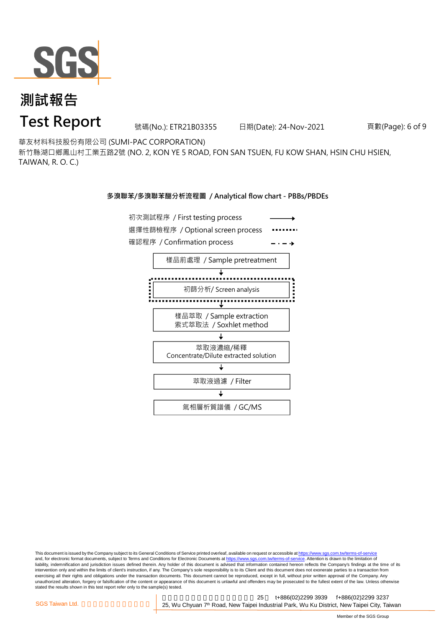

號碼(No.): ETR21B03355 日期(Date): 24-Nov-2021

頁數(Page): 6 of 9

華友材料科技股份有限公司 (SUMI-PAC CORPORATION)

新竹縣湖口鄉鳳山村工業五路2號 (NO. 2, KON YE 5 ROAD, FON SAN TSUEN, FU KOW SHAN, HSIN CHU HSIEN, TAIWAN, R. O. C.)

#### **多溴聯苯/多溴聯苯醚分析流程圖 / Analytical flow chart - PBBs/PBDEs**



This document is issued by the Company subject to its General Conditions of Service printed overleaf, available on request or accessible at https://www.sgs.com.tw/terms-of-service and, for electronic format documents, subject to Terms and Conditions for Electronic Documents at https://www.sgs.com.tw/terms-of-service. Attention is drawn to the limitation of liability, indemnification and jurisdiction issues defined therein. Any holder of this document is advised that information contained hereon reflects the Company's findings at the time of its intervention only and within the limits of client's instruction, if any. The Company's sole responsibility is to its Client and this document does not exonerate parties to a transaction from exercising all their rights and obligations under the transaction documents. This document cannot be reproduced, except in full, without prior written approval of the Company. Any<br>unauthorized alteration, forgery or falsif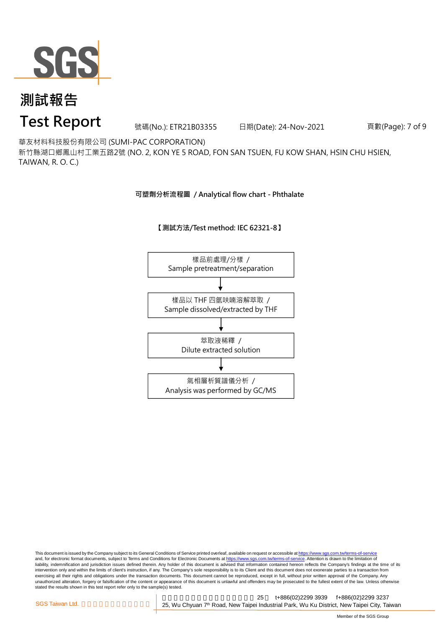

號碼(No.): ETR21B03355 日期(Date): 24-Nov-2021

頁數(Page): 7 of 9

華友材料科技股份有限公司 (SUMI-PAC CORPORATION)

新竹縣湖口鄉鳳山村工業五路2號 (NO. 2, KON YE 5 ROAD, FON SAN TSUEN, FU KOW SHAN, HSIN CHU HSIEN, TAIWAN, R. O. C.)

**可塑劑分析流程圖 / Analytical flow chart - Phthalate**

#### **【測試方法/Test method: IEC 62321-8】**



This document is issued by the Company subject to its General Conditions of Service printed overleaf, available on request or accessible at <u>https://www.sgs.com.tw/terms-of-service</u><br>and, for electronic format documents, su liability, indemnification and jurisdiction issues defined therein. Any holder of this document is advised that information contained hereon reflects the Company's findings at the time of its intervention only and within the limits of client's instruction, if any. The Company's sole responsibility is to its Client and this document does not exonerate parties to a transaction from exercising all their rights and obligations under the transaction documents. This document cannot be reproduced, except in full, without prior written approval of the Company. Any<br>unauthorized alteration, forgery or falsif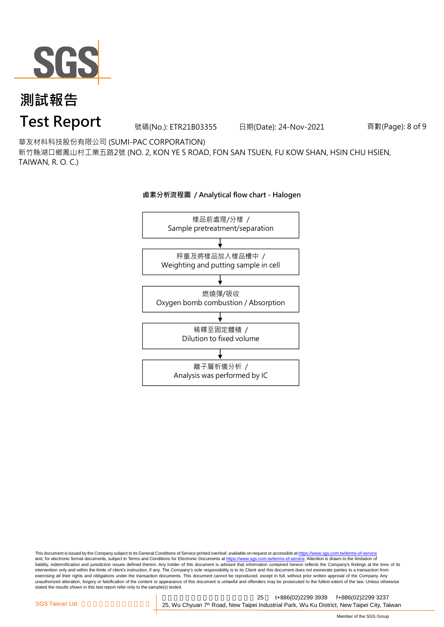

號碼(No.): ETR21B03355 日期(Date): 24-Nov-2021

頁數(Page): 8 of 9

華友材料科技股份有限公司 (SUMI-PAC CORPORATION)

新竹縣湖口鄉鳳山村工業五路2號 (NO. 2, KON YE 5 ROAD, FON SAN TSUEN, FU KOW SHAN, HSIN CHU HSIEN, TAIWAN, R. O. C.)

#### **鹵素分析流程圖 / Analytical flow chart - Halogen**



This document is issued by the Company subject to its General Conditions of Service printed overleaf, available on request or accessible at <u>https://www.sgs.com.tw/terms-of-service</u><br>and, for electronic format documents, su liability, indemnification and jurisdiction issues defined therein. Any holder of this document is advised that information contained hereon reflects the Company's findings at the time of its intervention only and within the limits of client's instruction, if any. The Company's sole responsibility is to its Client and this document does not exonerate parties to a transaction from exercising all their rights and obligations under the transaction documents. This document cannot be reproduced, except in full, without prior written approval of the Company. Any<br>unauthorized alteration, forgery or falsif